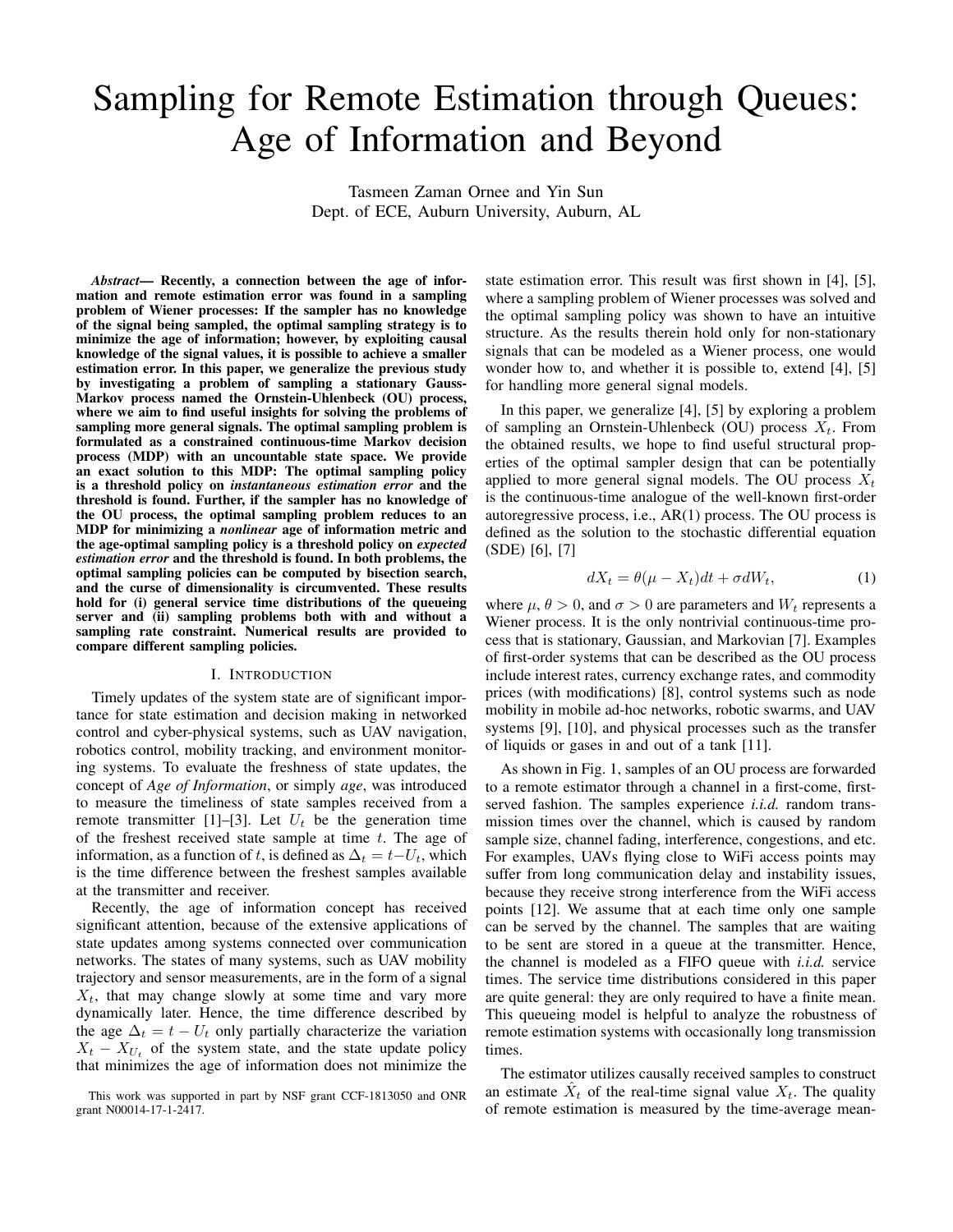# Sampling for Remote Estimation through Queues: Age of Information and Beyond

Tasmeen Zaman Ornee and Yin Sun Dept. of ECE, Auburn University, Auburn, AL

*Abstract*— Recently, a connection between the age of information and remote estimation error was found in a sampling problem of Wiener processes: If the sampler has no knowledge of the signal being sampled, the optimal sampling strategy is to minimize the age of information; however, by exploiting causal knowledge of the signal values, it is possible to achieve a smaller estimation error. In this paper, we generalize the previous study by investigating a problem of sampling a stationary Gauss-Markov process named the Ornstein-Uhlenbeck (OU) process, where we aim to find useful insights for solving the problems of sampling more general signals. The optimal sampling problem is formulated as a constrained continuous-time Markov decision process (MDP) with an uncountable state space. We provide an exact solution to this MDP: The optimal sampling policy is a threshold policy on *instantaneous estimation error* and the threshold is found. Further, if the sampler has no knowledge of the OU process, the optimal sampling problem reduces to an MDP for minimizing a *nonlinear* age of information metric and the age-optimal sampling policy is a threshold policy on *expected estimation error* and the threshold is found. In both problems, the optimal sampling policies can be computed by bisection search, and the curse of dimensionality is circumvented. These results hold for (i) general service time distributions of the queueing server and (ii) sampling problems both with and without a sampling rate constraint. Numerical results are provided to compare different sampling policies.

## I. INTRODUCTION

Timely updates of the system state are of significant importance for state estimation and decision making in networked control and cyber-physical systems, such as UAV navigation, robotics control, mobility tracking, and environment monitoring systems. To evaluate the freshness of state updates, the concept of *Age of Information*, or simply *age*, was introduced to measure the timeliness of state samples received from a remote transmitter [1]–[3]. Let  $U_t$  be the generation time of the freshest received state sample at time  $t$ . The age of information, as a function of t, is defined as  $\Delta_t = t-U_t$ , which is the time difference between the freshest samples available at the transmitter and receiver.

Recently, the age of information concept has received significant attention, because of the extensive applications of state updates among systems connected over communication networks. The states of many systems, such as UAV mobility trajectory and sensor measurements, are in the form of a signal  $X_t$ , that may change slowly at some time and vary more dynamically later. Hence, the time difference described by the age  $\Delta_t = t - U_t$  only partially characterize the variation  $X_t - X_{U_t}$  of the system state, and the state update policy that minimizes the age of information does not minimize the state estimation error. This result was first shown in [4], [5], where a sampling problem of Wiener processes was solved and the optimal sampling policy was shown to have an intuitive structure. As the results therein hold only for non-stationary signals that can be modeled as a Wiener process, one would wonder how to, and whether it is possible to, extend [4], [5] for handling more general signal models.

In this paper, we generalize [4], [5] by exploring a problem of sampling an Ornstein-Uhlenbeck (OU) process  $X_t$ . From the obtained results, we hope to find useful structural properties of the optimal sampler design that can be potentially applied to more general signal models. The OU process  $X_t$ is the continuous-time analogue of the well-known first-order autoregressive process, i.e., AR(1) process. The OU process is defined as the solution to the stochastic differential equation (SDE) [6], [7]

$$
dX_t = \theta(\mu - X_t)dt + \sigma dW_t, \qquad (1)
$$

where  $\mu$ ,  $\theta > 0$ , and  $\sigma > 0$  are parameters and  $W_t$  represents a Wiener process. It is the only nontrivial continuous-time process that is stationary, Gaussian, and Markovian [7]. Examples of first-order systems that can be described as the OU process include interest rates, currency exchange rates, and commodity prices (with modifications) [8], control systems such as node mobility in mobile ad-hoc networks, robotic swarms, and UAV systems [9], [10], and physical processes such as the transfer of liquids or gases in and out of a tank [11].

As shown in Fig. 1, samples of an OU process are forwarded to a remote estimator through a channel in a first-come, firstserved fashion. The samples experience *i.i.d.* random transmission times over the channel, which is caused by random sample size, channel fading, interference, congestions, and etc. For examples, UAVs flying close to WiFi access points may suffer from long communication delay and instability issues, because they receive strong interference from the WiFi access points [12]. We assume that at each time only one sample can be served by the channel. The samples that are waiting to be sent are stored in a queue at the transmitter. Hence, the channel is modeled as a FIFO queue with *i.i.d.* service times. The service time distributions considered in this paper are quite general: they are only required to have a finite mean. This queueing model is helpful to analyze the robustness of remote estimation systems with occasionally long transmission times.

The estimator utilizes causally received samples to construct an estimate  $\hat{X}_t$  of the real-time signal value  $X_t$ . The quality of remote estimation is measured by the time-average mean-

This work was supported in part by NSF grant CCF-1813050 and ONR grant N00014-17-1-2417.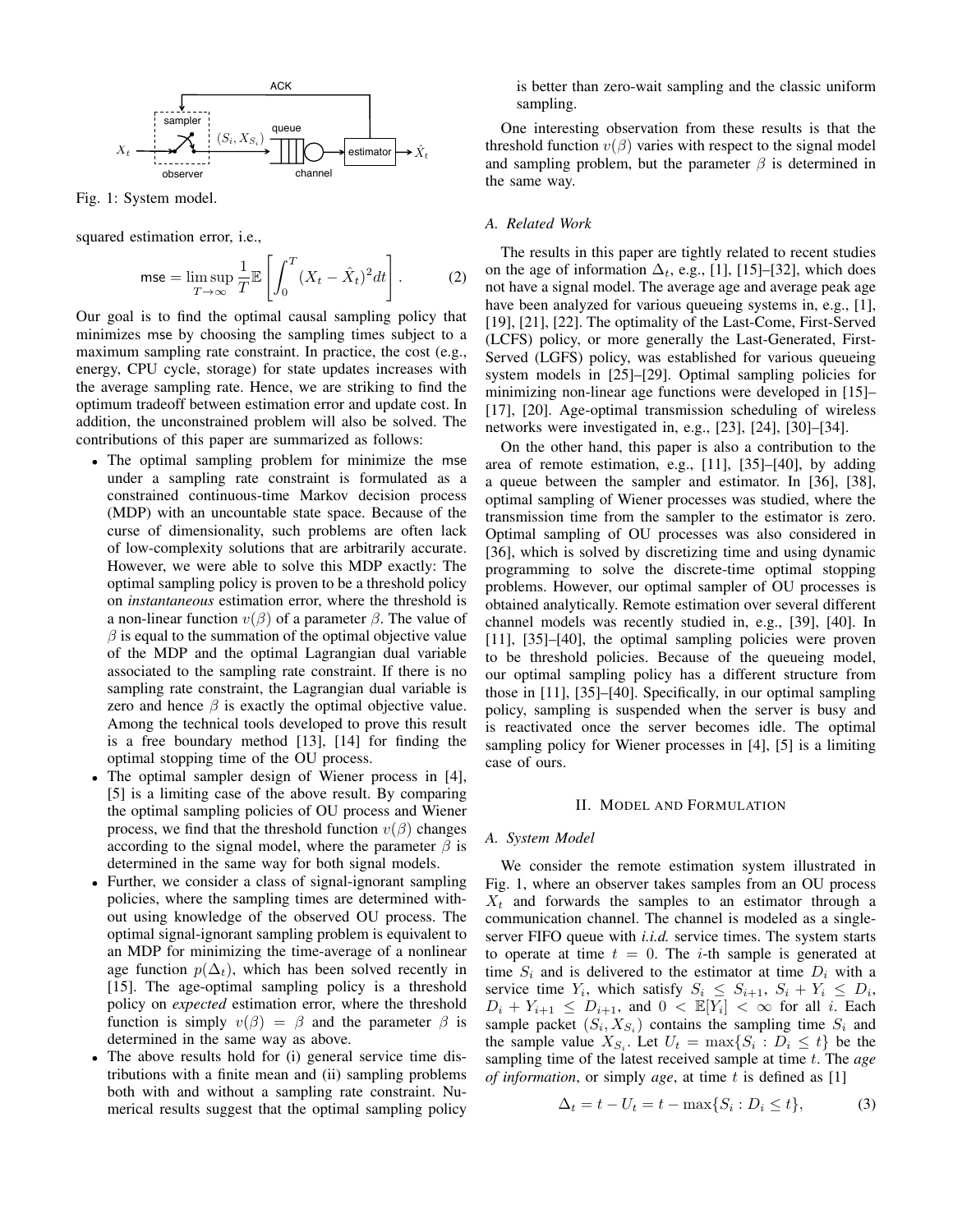

Fig. 1: System model.

squared estimation error, i.e.,

$$
\mathsf{mse} = \limsup_{T \to \infty} \frac{1}{T} \mathbb{E} \left[ \int_0^T (X_t - \hat{X}_t)^2 dt \right]. \tag{2}
$$

Our goal is to find the optimal causal sampling policy that minimizes mse by choosing the sampling times subject to a maximum sampling rate constraint. In practice, the cost (e.g., energy, CPU cycle, storage) for state updates increases with the average sampling rate. Hence, we are striking to find the optimum tradeoff between estimation error and update cost. In addition, the unconstrained problem will also be solved. The contributions of this paper are summarized as follows:

- The optimal sampling problem for minimize the mse under a sampling rate constraint is formulated as a constrained continuous-time Markov decision process (MDP) with an uncountable state space. Because of the curse of dimensionality, such problems are often lack of low-complexity solutions that are arbitrarily accurate. However, we were able to solve this MDP exactly: The optimal sampling policy is proven to be a threshold policy on *instantaneous* estimation error, where the threshold is a non-linear function  $v(\beta)$  of a parameter  $\beta$ . The value of  $\beta$  is equal to the summation of the optimal objective value of the MDP and the optimal Lagrangian dual variable associated to the sampling rate constraint. If there is no sampling rate constraint, the Lagrangian dual variable is zero and hence  $\beta$  is exactly the optimal objective value. Among the technical tools developed to prove this result is a free boundary method [13], [14] for finding the optimal stopping time of the OU process.
- The optimal sampler design of Wiener process in [4], [5] is a limiting case of the above result. By comparing the optimal sampling policies of OU process and Wiener process, we find that the threshold function  $v(\beta)$  changes according to the signal model, where the parameter  $\beta$  is determined in the same way for both signal models.
- Further, we consider a class of signal-ignorant sampling policies, where the sampling times are determined without using knowledge of the observed OU process. The optimal signal-ignorant sampling problem is equivalent to an MDP for minimizing the time-average of a nonlinear age function  $p(\Delta_t)$ , which has been solved recently in [15]. The age-optimal sampling policy is a threshold policy on *expected* estimation error, where the threshold function is simply  $v(\beta) = \beta$  and the parameter  $\beta$  is determined in the same way as above.
- The above results hold for (i) general service time distributions with a finite mean and (ii) sampling problems both with and without a sampling rate constraint. Numerical results suggest that the optimal sampling policy

is better than zero-wait sampling and the classic uniform sampling.

One interesting observation from these results is that the threshold function  $v(\beta)$  varies with respect to the signal model and sampling problem, but the parameter  $\beta$  is determined in the same way.

## *A. Related Work*

The results in this paper are tightly related to recent studies on the age of information  $\Delta_t$ , e.g., [1], [15]–[32], which does not have a signal model. The average age and average peak age have been analyzed for various queueing systems in, e.g., [1], [19], [21], [22]. The optimality of the Last-Come, First-Served (LCFS) policy, or more generally the Last-Generated, First-Served (LGFS) policy, was established for various queueing system models in [25]–[29]. Optimal sampling policies for minimizing non-linear age functions were developed in [15]– [17], [20]. Age-optimal transmission scheduling of wireless networks were investigated in, e.g., [23], [24], [30]–[34].

On the other hand, this paper is also a contribution to the area of remote estimation, e.g., [11], [35]–[40], by adding a queue between the sampler and estimator. In [36], [38], optimal sampling of Wiener processes was studied, where the transmission time from the sampler to the estimator is zero. Optimal sampling of OU processes was also considered in [36], which is solved by discretizing time and using dynamic programming to solve the discrete-time optimal stopping problems. However, our optimal sampler of OU processes is obtained analytically. Remote estimation over several different channel models was recently studied in, e.g., [39], [40]. In [11], [35]–[40], the optimal sampling policies were proven to be threshold policies. Because of the queueing model, our optimal sampling policy has a different structure from those in [11], [35]–[40]. Specifically, in our optimal sampling policy, sampling is suspended when the server is busy and is reactivated once the server becomes idle. The optimal sampling policy for Wiener processes in [4], [5] is a limiting case of ours.

#### II. MODEL AND FORMULATION

#### *A. System Model*

We consider the remote estimation system illustrated in Fig. 1, where an observer takes samples from an OU process  $X_t$  and forwards the samples to an estimator through a communication channel. The channel is modeled as a singleserver FIFO queue with *i.i.d.* service times. The system starts to operate at time  $t = 0$ . The *i*-th sample is generated at time  $S_i$  and is delivered to the estimator at time  $D_i$  with a service time  $Y_i$ , which satisfy  $S_i \leq S_{i+1}, S_i + Y_i \leq D_i$ ,  $D_i + Y_{i+1} \leq D_{i+1}$ , and  $0 \lt \mathbb{E}[Y_i] \lt \infty$  for all i. Each sample packet  $(S_i, X_{S_i})$  contains the sampling time  $S_i$  and the sample value  $X_{S_i}$ . Let  $U_t = \max\{S_i : D_i \leq t\}$  be the sampling time of the latest received sample at time t. The *age of information*, or simply *age*, at time t is defined as [1]

$$
\Delta_t = t - U_t = t - \max\{S_i : D_i \le t\},\tag{3}
$$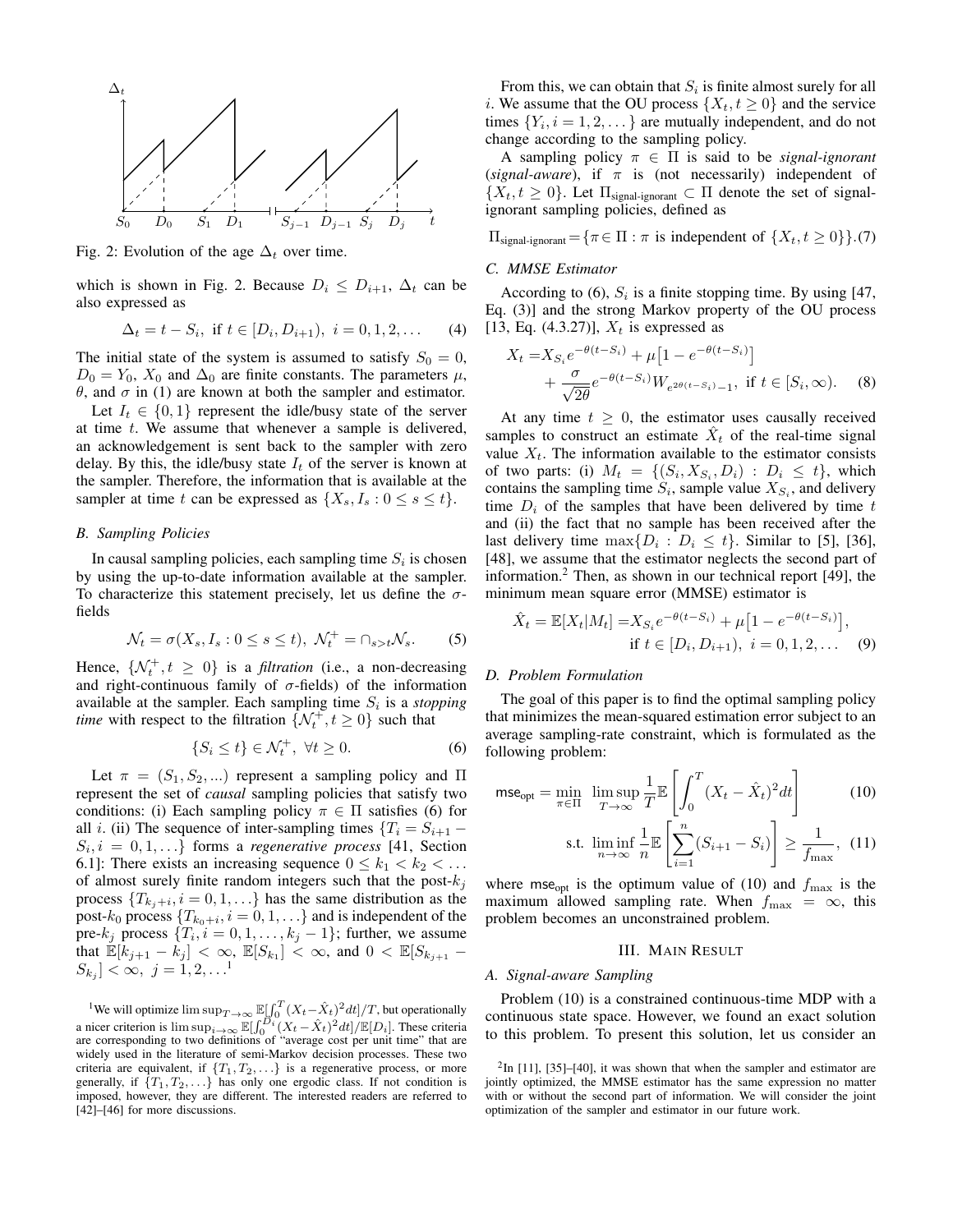

Fig. 2: Evolution of the age  $\Delta_t$  over time.

which is shown in Fig. 2. Because  $D_i \leq D_{i+1}$ ,  $\Delta_t$  can be also expressed as

$$
\Delta_t = t - S_i, \text{ if } t \in [D_i, D_{i+1}), \ i = 0, 1, 2, \dots \tag{4}
$$

The initial state of the system is assumed to satisfy  $S_0 = 0$ ,  $D_0 = Y_0$ ,  $X_0$  and  $\Delta_0$  are finite constants. The parameters  $\mu$ ,  $θ$ , and  $σ$  in (1) are known at both the sampler and estimator.

Let  $I_t \in \{0,1\}$  represent the idle/busy state of the server at time  $t$ . We assume that whenever a sample is delivered, an acknowledgement is sent back to the sampler with zero delay. By this, the idle/busy state  $I_t$  of the server is known at the sampler. Therefore, the information that is available at the sampler at time t can be expressed as  $\{X_s, I_s : 0 \le s \le t\}.$ 

# *B. Sampling Policies*

In causal sampling policies, each sampling time  $S_i$  is chosen by using the up-to-date information available at the sampler. To characterize this statement precisely, let us define the  $\sigma$ fields

$$
\mathcal{N}_t = \sigma(X_s, I_s : 0 \le s \le t), \ \mathcal{N}_t^+ = \cap_{s > t} \mathcal{N}_s. \tag{5}
$$

Hence,  $\{N_t^+, t \geq 0\}$  is a *filtration* (i.e., a non-decreasing and right-continuous family of  $\sigma$ -fields) of the information available at the sampler. Each sampling time  $S_i$  is a *stopping time* with respect to the filtration  $\{N_t^+, t \ge 0\}$  such that

$$
\{S_i \le t\} \in \mathcal{N}_t^+, \ \forall t \ge 0. \tag{6}
$$

Let  $\pi = (S_1, S_2, ...)$  represent a sampling policy and  $\Pi$ represent the set of *causal* sampling policies that satisfy two conditions: (i) Each sampling policy  $\pi \in \Pi$  satisfies (6) for all *i*. (ii) The sequence of inter-sampling times  ${T_i = S_{i+1}}$  $S_i, i = 0, 1, \ldots\}$  forms a *regenerative process* [41, Section 6.1]: There exists an increasing sequence  $0 \leq k_1 < k_2 < \ldots$ of almost surely finite random integers such that the post- $k_j$ process  $\{T_{k_j+i}, i=0,1,\ldots\}$  has the same distribution as the post- $k_0$  process  $\{T_{k_0+i}, i=0,1,\ldots\}$  and is independent of the pre- $k_j$  process  $\{T_i, i = 0, 1, \ldots, k_j - 1\}$ ; further, we assume that  $\mathbb{E}[k_{j+1} - k_j] < \infty$ ,  $\mathbb{E}[S_{k_1}] < \infty$ , and  $0 < \mathbb{E}[S_{k_{j+1}} [S_{k_j}] < \infty, \ j = 1, 2, \ldots^1$ 

<sup>1</sup>We will optimize  $\limsup_{T\to\infty} \mathbb{E}[\int_0^T (X_t - \hat{X}_t)^2 dt]/T$ , but operationally a nicer criterion is  $\limsup_{i\to\infty} \mathbb{E}[\int_0^{D_i} (X_t - \hat{X}_t)^2 dt] / \mathbb{E}[D_i]$ . These criteria are corresponding to two definitions of "average cost per unit time" that are widely used in the literature of semi-Markov decision processes. These two criteria are equivalent, if  $\{T_1, T_2, \ldots\}$  is a regenerative process, or more generally, if  $\{T_1, T_2, \ldots\}$  has only one ergodic class. If not condition is imposed, however, they are different. The interested readers are referred to [42]–[46] for more discussions.

From this, we can obtain that  $S_i$  is finite almost surely for all i. We assume that the OU process  $\{X_t, t \geq 0\}$  and the service times  $\{Y_i, i = 1, 2, \dots\}$  are mutually independent, and do not change according to the sampling policy.

A sampling policy  $\pi \in \Pi$  is said to be *signal-ignorant* (*signal-aware*), if  $\pi$  is (not necessarily) independent of  $\{X_t, t \geq 0\}$ . Let  $\Pi_{\text{signal-ignorant}} \subset \Pi$  denote the set of signalignorant sampling policies, defined as

 $\Pi_{\text{signal-ignorant}} = {\pi \in \Pi : \pi \text{ is independent of } \{X_t, t \geq 0\}}$ .(7)

#### *C. MMSE Estimator*

According to (6),  $S_i$  is a finite stopping time. By using [47, Eq. (3)] and the strong Markov property of the OU process [13, Eq. (4.3.27)],  $X_t$  is expressed as

$$
X_t = X_{S_i} e^{-\theta(t - S_i)} + \mu \left[ 1 - e^{-\theta(t - S_i)} \right] + \frac{\sigma}{\sqrt{2\theta}} e^{-\theta(t - S_i)} W_{e^{2\theta(t - S_i)} - 1}, \text{ if } t \in [S_i, \infty). \tag{8}
$$

At any time  $t \geq 0$ , the estimator uses causally received samples to construct an estimate  $\hat{X}_t$  of the real-time signal value  $X_t$ . The information available to the estimator consists of two parts: (i)  $M_t = \{ (S_i, X_{S_i}, D_i) : D_i \leq t \}$ , which contains the sampling time  $S_i$ , sample value  $X_{S_i}$ , and delivery time  $D_i$  of the samples that have been delivered by time t and (ii) the fact that no sample has been received after the last delivery time  $\max\{D_i : D_i \leq t\}$ . Similar to [5], [36], [48], we assume that the estimator neglects the second part of information.<sup>2</sup> Then, as shown in our technical report [49], the minimum mean square error (MMSE) estimator is

$$
\hat{X}_t = \mathbb{E}[X_t | M_t] = X_{S_i} e^{-\theta(t - S_i)} + \mu \left[ 1 - e^{-\theta(t - S_i)} \right],
$$
  
if  $t \in [D_i, D_{i+1}), i = 0, 1, 2, ...$  (9)

## *D. Problem Formulation*

The goal of this paper is to find the optimal sampling policy that minimizes the mean-squared estimation error subject to an average sampling-rate constraint, which is formulated as the following problem:

$$
\mathsf{mse}_{\mathsf{opt}} = \min_{\pi \in \Pi} \limsup_{T \to \infty} \frac{1}{T} \mathbb{E} \left[ \int_0^T (X_t - \hat{X}_t)^2 dt \right] \tag{10}
$$

$$
\text{s.t. } \liminf_{n \to \infty} \frac{1}{n} \mathbb{E} \left[ \sum_{i=1}^{n} (S_{i+1} - S_i) \right] \ge \frac{1}{f_{\text{max}}}, \tag{11}
$$

where mse<sub>opt</sub> is the optimum value of (10) and  $f_{\text{max}}$  is the maximum allowed sampling rate. When  $f_{\text{max}} = \infty$ , this problem becomes an unconstrained problem.

# III. MAIN RESULT

## *A. Signal-aware Sampling*

Problem (10) is a constrained continuous-time MDP with a continuous state space. However, we found an exact solution to this problem. To present this solution, let us consider an

 $2$ In [11], [35]–[40], it was shown that when the sampler and estimator are jointly optimized, the MMSE estimator has the same expression no matter with or without the second part of information. We will consider the joint optimization of the sampler and estimator in our future work.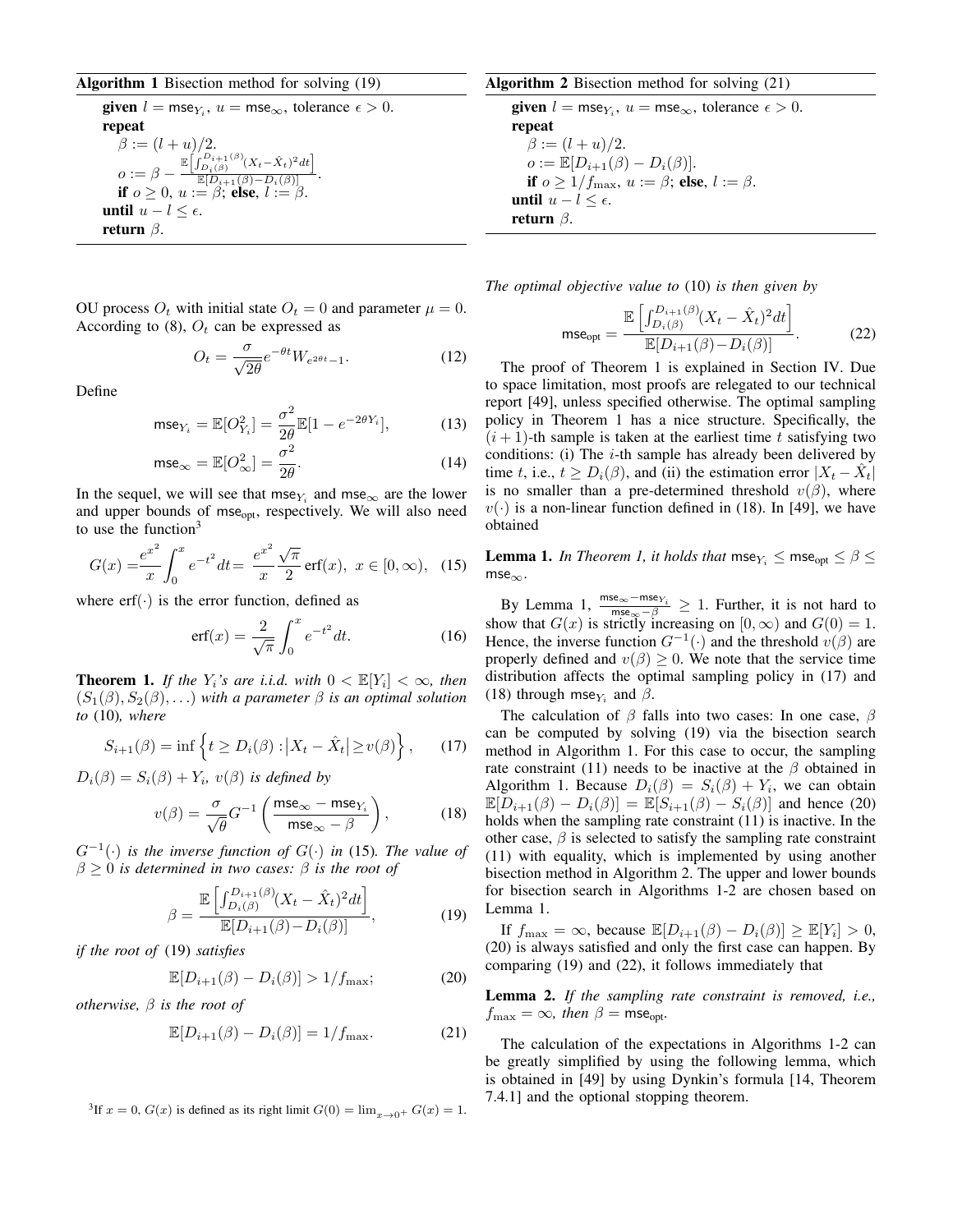# Algorithm 1 Bisection method for solving (19)

**given**  $l = \text{mse}_{Y_i}$ ,  $u = \text{mse}_{\infty}$ , tolerance  $\epsilon > 0$ . repeat  $\beta := (l + u)/2.$  $o := \beta - \frac{\mathbb{E}\left[\int_{D_i(\beta)}^{D_{i+1}(\beta)} (X_t - \hat{X}_t)^2 dt\right]}{\mathbb{E}[D_{i+1}(\beta) - D_i(\beta)]}$  $\frac{\mathbb{E}[D_{i+1}(\beta)-D_i(\beta)]}{\mathbb{E}[D_{i+1}(\beta)-D_i(\beta)]}.$ if  $o \geq 0$ ,  $u := \beta$ ; else,  $l := \beta$ . until  $u - l \leq ε$ . return  $\beta$ .

OU process  $O_t$  with initial state  $O_t = 0$  and parameter  $\mu = 0$ . According to (8),  $O_t$  can be expressed as

$$
O_t = \frac{\sigma}{\sqrt{2\theta}} e^{-\theta t} W_{e^{2\theta t} - 1}.
$$
 (12)

Define

$$
\text{mse}_{Y_i} = \mathbb{E}[O_{Y_i}^2] = \frac{\sigma^2}{2\theta} \mathbb{E}[1 - e^{-2\theta Y_i}], \tag{13}
$$

$$
\mathsf{mse}_{\infty} = \mathbb{E}[O_{\infty}^2] = \frac{\sigma^2}{2\theta}.
$$
 (14)

In the sequel, we will see that mse $Y_i$  and mse<sub> $\infty$ </sub> are the lower and upper bounds of mse<sub>opt</sub>, respectively. We will also need to use the function $3$ 

$$
G(x) = \frac{e^{x^2}}{x} \int_0^x e^{-t^2} dt = \frac{e^{x^2}}{x} \frac{\sqrt{\pi}}{2} \operatorname{erf}(x), \ x \in [0, \infty), \tag{15}
$$

where  $erf(\cdot)$  is the error function, defined as

$$
\text{erf}(x) = \frac{2}{\sqrt{\pi}} \int_0^x e^{-t^2} dt. \tag{16}
$$

**Theorem 1.** If the  $Y_i$ 's are i.i.d. with  $0 < \mathbb{E}[Y_i] < \infty$ , then  $(S_1(\beta), S_2(\beta), ...)$  with a parameter  $\beta$  *is an optimal solution to* (10)*, where*

$$
S_{i+1}(\beta) = \inf \left\{ t \ge D_i(\beta) : \left| X_t - \hat{X}_t \right| \ge v(\beta) \right\},\qquad(17)
$$

 $D_i(\beta) = S_i(\beta) + Y_i$ ,  $v(\beta)$  *is defined by* 

$$
v(\beta) = \frac{\sigma}{\sqrt{\theta}} G^{-1} \left( \frac{\text{mse}_{\infty} - \text{mse}_{Y_i}}{\text{mse}_{\infty} - \beta} \right),\tag{18}
$$

 $G^{-1}(\cdot)$  *is the inverse function of*  $G(\cdot)$  *in* (15)*. The value of*  $\beta \geq 0$  *is determined in two cases:*  $\beta$  *is the root of* 

$$
\beta = \frac{\mathbb{E}\left[\int_{D_i(\beta)}^{D_{i+1}(\beta)} (X_t - \hat{X}_t)^2 dt\right]}{\mathbb{E}[D_{i+1}(\beta) - D_i(\beta)]},
$$
\n(19)

*if the root of* (19) *satisfies*

$$
\mathbb{E}[D_{i+1}(\beta) - D_i(\beta)] > 1/f_{\text{max}};
$$
\n(20)

*otherwise,* β *is the root of*

$$
\mathbb{E}[D_{i+1}(\beta) - D_i(\beta)] = 1/f_{\text{max}}.\tag{21}
$$

<sup>3</sup>If  $x = 0$ ,  $G(x)$  is defined as its right limit  $G(0) = \lim_{x\to 0^+} G(x) = 1$ .

# Algorithm 2 Bisection method for solving (21)

**given**  $l = \text{mse}_{Y_i}$ ,  $u = \text{mse}_{\infty}$ , tolerance  $\epsilon > 0$ . repeat  $\beta := (l + u)/2.$  $o := \mathbb{E}[D_{i+1}(\beta) - D_i(\beta)].$ if  $o \geq 1/f_{\text{max}}$ ,  $u := \beta$ ; else,  $l := \beta$ . until  $u - l$  ≤  $\epsilon$ . return  $\beta$ .

*The optimal objective value to* (10) *is then given by*

$$
\text{mse}_{\text{opt}} = \frac{\mathbb{E}\left[\int_{D_i(\beta)}^{D_{i+1}(\beta)} (X_t - \hat{X}_t)^2 dt\right]}{\mathbb{E}[D_{i+1}(\beta) - D_i(\beta)]}.
$$
 (22)

The proof of Theorem 1 is explained in Section IV. Due to space limitation, most proofs are relegated to our technical report [49], unless specified otherwise. The optimal sampling policy in Theorem 1 has a nice structure. Specifically, the  $(i + 1)$ -th sample is taken at the earliest time t satisfying two conditions: (i) The  $i$ -th sample has already been delivered by time t, i.e.,  $t \ge D_i(\beta)$ , and (ii) the estimation error  $|X_t - \hat{X}_t|$ is no smaller than a pre-determined threshold  $v(\beta)$ , where  $v(\cdot)$  is a non-linear function defined in (18). In [49], we have obtained

**Lemma 1.** *In Theorem 1, it holds that* mse $Y_i \leq$  mse<sub>opt</sub>  $\leq \beta \leq$  $mse_{\infty}$ .

By Lemma 1,  $\frac{mse_{\infty}-mse_{Y_i}}{mse_{\infty}-\beta} \geq 1$ . Further, it is not hard to show that  $G(x)$  is strictly increasing on  $[0, \infty)$  and  $G(0) = 1$ . Hence, the inverse function  $G^{-1}(\cdot)$  and the threshold  $v(\beta)$  are properly defined and  $v(\beta) \geq 0$ . We note that the service time distribution affects the optimal sampling policy in (17) and (18) through mse<sub>Y<sub>i</sub></sub> and  $\beta$ .

The calculation of  $\beta$  falls into two cases: In one case,  $\beta$ can be computed by solving (19) via the bisection search method in Algorithm 1. For this case to occur, the sampling rate constraint (11) needs to be inactive at the  $\beta$  obtained in Algorithm 1. Because  $D_i(\beta) = S_i(\beta) + Y_i$ , we can obtain  $\mathbb{E}[D_{i+1}(\beta) - D_i(\beta)] = \mathbb{E}[S_{i+1}(\beta) - S_i(\beta)]$  and hence (20) holds when the sampling rate constraint (11) is inactive. In the other case,  $\beta$  is selected to satisfy the sampling rate constraint (11) with equality, which is implemented by using another bisection method in Algorithm 2. The upper and lower bounds for bisection search in Algorithms 1-2 are chosen based on Lemma 1.

If  $f_{\text{max}} = \infty$ , because  $\mathbb{E}[D_{i+1}(\beta) - D_i(\beta)] \geq \mathbb{E}[Y_i] > 0$ , (20) is always satisfied and only the first case can happen. By comparing (19) and (22), it follows immediately that

Lemma 2. *If the sampling rate constraint is removed, i.e.,*  $f_{\text{max}} = \infty$ *, then*  $\beta = \text{mse}_{\text{opt}}$ *.* 

The calculation of the expectations in Algorithms 1-2 can be greatly simplified by using the following lemma, which is obtained in [49] by using Dynkin's formula [14, Theorem 7.4.1] and the optional stopping theorem.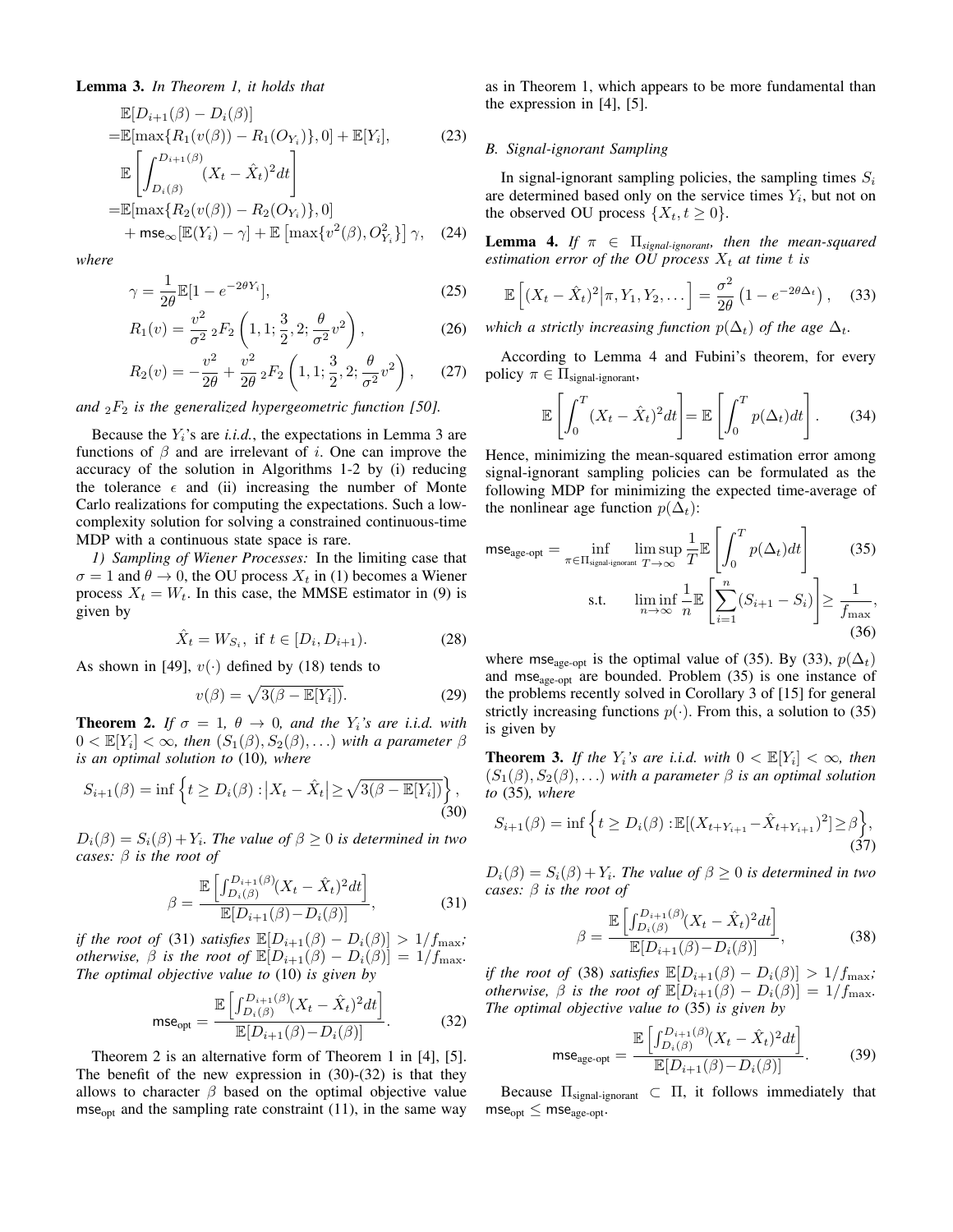# Lemma 3. *In Theorem 1, it holds that*

$$
\mathbb{E}[D_{i+1}(\beta) - D_i(\beta)]
$$
\n
$$
= \mathbb{E}[\max\{R_1(v(\beta)) - R_1(O_{Y_i})\}, 0] + \mathbb{E}[Y_i],
$$
\n
$$
\mathbb{E}\left[\int_{D_i(\beta)}^{D_{i+1}(\beta)} (X_t - \hat{X}_t)^2 dt\right]
$$
\n
$$
= \mathbb{E}[\max\{R_2(v(\beta)) - R_2(O_{Y_i})\}, 0]
$$
\n
$$
+ \text{mse}_{\infty}[\mathbb{E}(Y_i) - \gamma] + \mathbb{E}[\max\{v^2(\beta), O_{Y_i}^2\}] \gamma,
$$
\n(24)

*where*

$$
\gamma = \frac{1}{2\theta} \mathbb{E}[1 - e^{-2\theta Y_i}],\tag{25}
$$

$$
R_1(v) = \frac{v^2}{\sigma^2} {}_2F_2\left(1, 1; \frac{3}{2}, 2; \frac{\theta}{\sigma^2} v^2\right),\tag{26}
$$

$$
R_2(v) = -\frac{v^2}{2\theta} + \frac{v^2}{2\theta} {}_2F_2\left(1, 1; \frac{3}{2}, 2; \frac{\theta}{\sigma^2} v^2\right), \quad (27)
$$

*and*  ${}_2F_2$  *is the generalized hypergeometric function [50].* 

Because the  $Y_i$ 's are *i.i.d.*, the expectations in Lemma 3 are functions of  $\beta$  and are irrelevant of i. One can improve the accuracy of the solution in Algorithms 1-2 by (i) reducing the tolerance  $\epsilon$  and (ii) increasing the number of Monte Carlo realizations for computing the expectations. Such a lowcomplexity solution for solving a constrained continuous-time MDP with a continuous state space is rare.

*1) Sampling of Wiener Processes:* In the limiting case that  $\sigma = 1$  and  $\theta \rightarrow 0$ , the OU process  $X_t$  in (1) becomes a Wiener process  $X_t = W_t$ . In this case, the MMSE estimator in (9) is given by

$$
\hat{X}_t = W_{S_i}, \text{ if } t \in [D_i, D_{i+1}). \tag{28}
$$

As shown in [49],  $v(\cdot)$  defined by (18) tends to

$$
v(\beta) = \sqrt{3(\beta - \mathbb{E}[Y_i])}.
$$
 (29)

**Theorem 2.** *If*  $\sigma = 1$ ,  $\theta \rightarrow 0$ , and the  $Y_i$ 's are i.i.d. with  $0 < \mathbb{E}[Y_i] < \infty$ , then  $(S_1(\beta), S_2(\beta), ...)$  with a parameter  $\beta$ *is an optimal solution to* (10)*, where*

$$
S_{i+1}(\beta) = \inf \left\{ t \ge D_i(\beta) : \left| X_t - \hat{X}_t \right| \ge \sqrt{3(\beta - \mathbb{E}[Y_i])} \right\},\tag{30}
$$

 $D_i(\beta) = S_i(\beta) + Y_i$ . The value of  $\beta \geq 0$  is determined in two *cases:* β *is the root of*

$$
\beta = \frac{\mathbb{E}\left[\int_{D_i(\beta)}^{D_{i+1}(\beta)} (X_t - \hat{X}_t)^2 dt\right]}{\mathbb{E}[D_{i+1}(\beta) - D_i(\beta)]},
$$
\n(31)

*if the root of* (31) *satisfies*  $\mathbb{E}[D_{i+1}(\beta) - D_i(\beta)] > 1/f_{\text{max}}$ ; *otherwise,*  $\beta$  *is the root of*  $\mathbb{E}[D_{i+1}(\beta) - D_i(\beta)] = 1/f_{\text{max}}$ . *The optimal objective value to* (10) *is given by*

$$
\text{mse}_{\text{opt}} = \frac{\mathbb{E}\left[\int_{D_i(\beta)}^{D_{i+1}(\beta)} (X_t - \hat{X}_t)^2 dt\right]}{\mathbb{E}[D_{i+1}(\beta) - D_i(\beta)]}.
$$
(32)

Theorem 2 is an alternative form of Theorem 1 in [4], [5]. The benefit of the new expression in (30)-(32) is that they allows to character  $\beta$  based on the optimal objective value mse<sub>opt</sub> and the sampling rate constraint  $(11)$ , in the same way as in Theorem 1, which appears to be more fundamental than the expression in [4], [5].

# *B. Signal-ignorant Sampling*

In signal-ignorant sampling policies, the sampling times  $S_i$ are determined based only on the service times  $Y_i$ , but not on the observed OU process  $\{X_t, t \geq 0\}.$ 

**Lemma 4.** *If*  $\pi \in \Pi_{signal\text{-}ignorant}$ *, then the mean-squared estimation error of the OU process*  $X_t$  *at time t is* 

$$
\mathbb{E}\left[\left(X_t - \hat{X}_t\right)^2 \middle| \pi, Y_1, Y_2, \dots\right] = \frac{\sigma^2}{2\theta} \left(1 - e^{-2\theta \Delta_t}\right), \quad (33)
$$

*which a strictly increasing function*  $p(\Delta_t)$  *of the age*  $\Delta_t$ *.* 

According to Lemma 4 and Fubini's theorem, for every policy  $\pi \in \Pi_{\text{signal-ignorant}}$ ,

$$
\mathbb{E}\left[\int_0^T (X_t - \hat{X}_t)^2 dt\right] = \mathbb{E}\left[\int_0^T p(\Delta_t) dt\right].
$$
 (34)

Hence, minimizing the mean-squared estimation error among signal-ignorant sampling policies can be formulated as the following MDP for minimizing the expected time-average of the nonlinear age function  $p(\Delta_t)$ :

$$
\mathsf{mse}_{\text{age-opt}} = \inf_{\pi \in \Pi_{\text{signal-ignorant}} \atop n \to \infty} \limsup_{T \to \infty} \frac{1}{T} \mathbb{E} \left[ \int_0^T p(\Delta_t) dt \right] \tag{35}
$$
\n
$$
\text{s.t.} \quad \liminf_{n \to \infty} \frac{1}{n} \mathbb{E} \left[ \sum_{i=1}^n (S_{i+1} - S_i) \right] \ge \frac{1}{f_{\text{max}}} \tag{36}
$$

where mse<sub>age-opt</sub> is the optimal value of (35). By (33),  $p(\Delta_t)$ and mse<sub>age-opt</sub> are bounded. Problem  $(35)$  is one instance of the problems recently solved in Corollary 3 of [15] for general strictly increasing functions  $p(\cdot)$ . From this, a solution to (35) is given by

**Theorem 3.** If the  $Y_i$ 's are i.i.d. with  $0 < \mathbb{E}[Y_i] < \infty$ , then  $(S_1(\beta), S_2(\beta), ...)$  *with a parameter*  $\beta$  *is an optimal solution to* (35)*, where*

$$
S_{i+1}(\beta) = \inf \left\{ t \ge D_i(\beta) : \mathbb{E}[(X_{t+Y_{i+1}} - \hat{X}_{t+Y_{i+1}})^2] \ge \beta \right\},\tag{37}
$$

 $D_i(\beta) = S_i(\beta) + Y_i$ . The value of  $\beta \geq 0$  is determined in two *cases:* β *is the root of*

$$
\beta = \frac{\mathbb{E}\left[\int_{D_i(\beta)}^{D_{i+1}(\beta)} (X_t - \hat{X}_t)^2 dt\right]}{\mathbb{E}[D_{i+1}(\beta) - D_i(\beta)]},
$$
\n(38)

*if the root of* (38) *satisfies*  $\mathbb{E}[D_{i+1}(\beta) - D_i(\beta)] > 1/f_{\text{max}}$ ; *otherwise,*  $\beta$  *is the root of*  $\mathbb{E}[D_{i+1}(\beta) - D_i(\beta)] = 1/f_{\text{max}}$ . *The optimal objective value to* (35) *is given by*

$$
\text{mse}_{\text{age-opt}} = \frac{\mathbb{E}\left[\int_{D_i(\beta)}^{D_{i+1}(\beta)} (X_t - \hat{X}_t)^2 dt\right]}{\mathbb{E}[D_{i+1}(\beta) - D_i(\beta)]}.
$$
(39)

Because  $\Pi_{signal-ignorant} \subset \Pi$ , it follows immediately that  $mse_{opt} \leq mse_{age-opt}$ .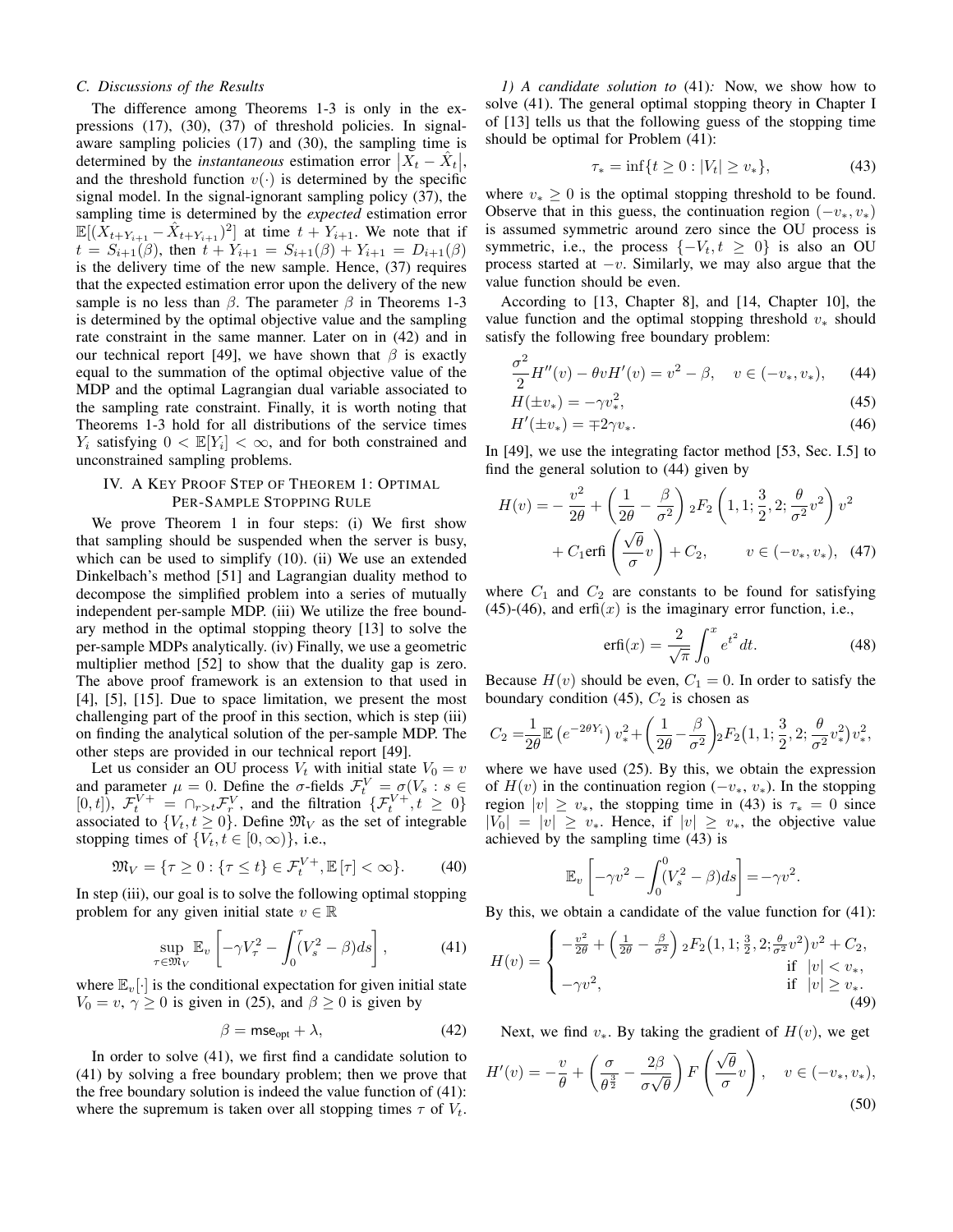# *C. Discussions of the Results*

The difference among Theorems 1-3 is only in the expressions (17), (30), (37) of threshold policies. In signalaware sampling policies (17) and (30), the sampling time is determined by the *instantaneous* estimation error  $\left| \vec{X}_t - \hat{X}_t \right|$ and the threshold function  $v(\cdot)$  is determined by the specific signal model. In the signal-ignorant sampling policy (37), the sampling time is determined by the *expected* estimation error  $\mathbb{E}[(\overline{X}_{t+Y_{i+1}} - \hat{X}_{t+Y_{i+1}})^2]$  at time  $t + Y_{i+1}$ . We note that if  $t = S_{i+1}(\beta)$ , then  $t + Y_{i+1} = S_{i+1}(\beta) + Y_{i+1} = D_{i+1}(\beta)$ is the delivery time of the new sample. Hence, (37) requires that the expected estimation error upon the delivery of the new sample is no less than  $\beta$ . The parameter  $\beta$  in Theorems 1-3 is determined by the optimal objective value and the sampling rate constraint in the same manner. Later on in (42) and in our technical report [49], we have shown that  $\beta$  is exactly equal to the summation of the optimal objective value of the MDP and the optimal Lagrangian dual variable associated to the sampling rate constraint. Finally, it is worth noting that Theorems 1-3 hold for all distributions of the service times  $Y_i$  satisfying  $0 < \mathbb{E}[Y_i] < \infty$ , and for both constrained and unconstrained sampling problems.

# IV. A KEY PROOF STEP OF THEOREM 1: OPTIMAL PER-SAMPLE STOPPING RULE

We prove Theorem 1 in four steps: (i) We first show that sampling should be suspended when the server is busy, which can be used to simplify (10). (ii) We use an extended Dinkelbach's method [51] and Lagrangian duality method to decompose the simplified problem into a series of mutually independent per-sample MDP. (iii) We utilize the free boundary method in the optimal stopping theory [13] to solve the per-sample MDPs analytically. (iv) Finally, we use a geometric multiplier method [52] to show that the duality gap is zero. The above proof framework is an extension to that used in [4], [5], [15]. Due to space limitation, we present the most challenging part of the proof in this section, which is step (iii) on finding the analytical solution of the per-sample MDP. The other steps are provided in our technical report [49].

Let us consider an OU process  $V_t$  with initial state  $V_0 = v$ and parameter  $\mu = 0$ . Define the  $\sigma$ -fields  $\mathcal{F}_t^V = \sigma(V_s : s \in$ [0, t]),  $\mathcal{F}_t^{V+} = \bigcap_{r>t} \mathcal{F}_r^V$ , and the filtration  $\{\mathcal{F}_t^{V+}, t \geq 0\}$ associated to  $\{V_t, t \geq 0\}$ . Define  $\mathfrak{M}_V$  as the set of integrable stopping times of  $\{V_t, t \in [0, \infty)\}\)$ , i.e.,

$$
\mathfrak{M}_V = \{ \tau \ge 0 : \{ \tau \le t \} \in \mathcal{F}_t^{V+}, \mathbb{E}[\tau] < \infty \}. \tag{40}
$$

In step (iii), our goal is to solve the following optimal stopping problem for any given initial state  $v \in \mathbb{R}$ 

$$
\sup_{\tau \in \mathfrak{M}_V} \mathbb{E}_v \left[ -\gamma V_\tau^2 - \int_0^\tau (V_s^2 - \beta) ds \right],\tag{41}
$$

where  $\mathbb{E}_{v}[\cdot]$  is the conditional expectation for given initial state  $V_0 = v, \gamma \ge 0$  is given in (25), and  $\beta \ge 0$  is given by

$$
\beta = \mathsf{mse}_{\text{opt}} + \lambda,\tag{42}
$$

In order to solve (41), we first find a candidate solution to (41) by solving a free boundary problem; then we prove that the free boundary solution is indeed the value function of (41): where the supremum is taken over all stopping times  $\tau$  of  $V_t$ .

*1) A candidate solution to* (41)*:* Now, we show how to solve (41). The general optimal stopping theory in Chapter I of [13] tells us that the following guess of the stopping time should be optimal for Problem (41):

$$
\tau_* = \inf\{t \ge 0 : |V_t| \ge v_*\},\tag{43}
$$

where  $v_* \geq 0$  is the optimal stopping threshold to be found. Observe that in this guess, the continuation region  $(-v_*, v_*)$ is assumed symmetric around zero since the OU process is symmetric, i.e., the process  $\{-V_t, t \geq 0\}$  is also an OU process started at  $-v$ . Similarly, we may also argue that the value function should be even.

According to [13, Chapter 8], and [14, Chapter 10], the value function and the optimal stopping threshold  $v_*$  should satisfy the following free boundary problem:

$$
\frac{\sigma^2}{2}H''(v) - \theta v H'(v) = v^2 - \beta, \quad v \in (-v_*, v_*), \quad (44)
$$

$$
H(\pm v_*) = -\gamma v_*^2,\tag{45}
$$

$$
H'(\pm v_*) = \mp 2\gamma v_*.\tag{46}
$$

In [49], we use the integrating factor method [53, Sec. I.5] to find the general solution to (44) given by

$$
H(v) = -\frac{v^2}{2\theta} + \left(\frac{1}{2\theta} - \frac{\beta}{\sigma^2}\right) {}_2F_2\left(1, 1; \frac{3}{2}, 2; \frac{\theta}{\sigma^2}v^2\right)v^2
$$

$$
+ C_1 \text{erf}_1\left(\frac{\sqrt{\theta}}{\sigma}v\right) + C_2, \qquad v \in (-v_*, v_*), \quad (47)
$$

where  $C_1$  and  $C_2$  are constants to be found for satisfying  $(45)-(46)$ , and erfi $(x)$  is the imaginary error function, i.e.,

$$
\operatorname{erfi}(x) = \frac{2}{\sqrt{\pi}} \int_0^x e^{t^2} dt. \tag{48}
$$

Because  $H(v)$  should be even,  $C_1 = 0$ . In order to satisfy the boundary condition (45),  $C_2$  is chosen as

$$
C_2 = \frac{1}{2\theta} \mathbb{E} \left( e^{-2\theta Y_i} \right) v_*^2 + \left( \frac{1}{2\theta} - \frac{\beta}{\sigma^2} \right) _2 F_2 \left( 1, 1; \frac{3}{2}, 2; \frac{\theta}{\sigma^2} v_*^2 \right) v_*^2,
$$

where we have used (25). By this, we obtain the expression of  $H(v)$  in the continuation region ( $-v_*, v_*$ ). In the stopping region  $|v| \ge v_*$ , the stopping time in (43) is  $\tau_* = 0$  since  $|V_0| = |v| \ge v_*$ . Hence, if  $|v| \ge v_*$ , the objective value achieved by the sampling time (43) is

$$
\mathbb{E}_v \left[ -\gamma v^2 - \int_0^0 (V_s^2 - \beta) ds \right] = -\gamma v^2.
$$

By this, we obtain a candidate of the value function for (41):

$$
H(v) = \begin{cases} -\frac{v^2}{2\theta} + \left(\frac{1}{2\theta} - \frac{\beta}{\sigma^2}\right) {}_{2}F_2\left(1, 1; \frac{3}{2}, 2; \frac{\theta}{\sigma^2} v^2\right) v^2 + C_2, & \text{if } |v| < v_*,\\ -\gamma v^2, & \text{if } |v| \ge v_*.\\ (49) \end{cases}
$$

Next, we find  $v_*$ . By taking the gradient of  $H(v)$ , we get

$$
H'(v) = -\frac{v}{\theta} + \left(\frac{\sigma}{\theta^{\frac{3}{2}}} - \frac{2\beta}{\sigma\sqrt{\theta}}\right) F\left(\frac{\sqrt{\theta}}{\sigma}v\right), \quad v \in (-v_*, v_*),
$$
\n(50)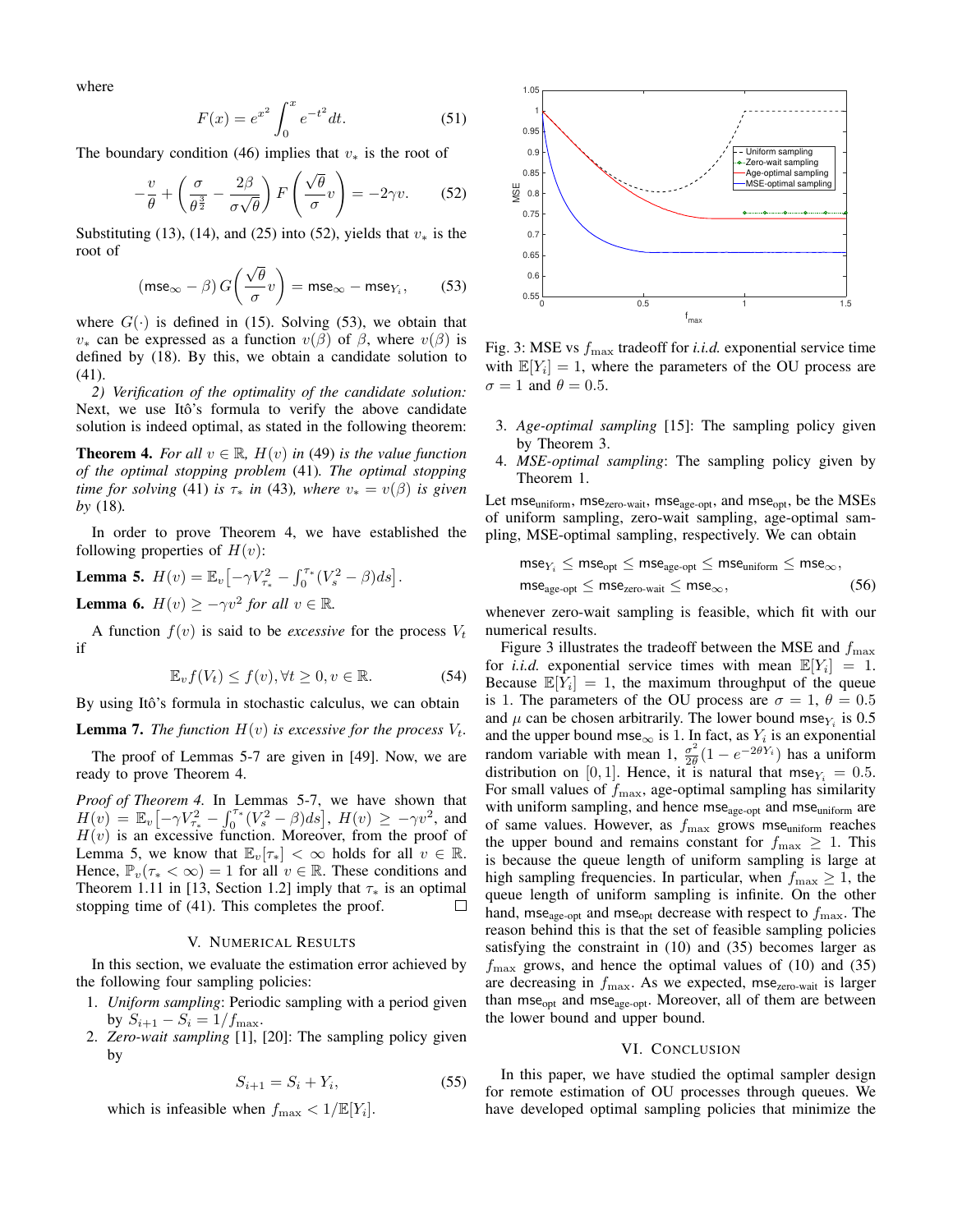where

$$
F(x) = e^{x^2} \int_0^x e^{-t^2} dt.
$$
 (51)

The boundary condition (46) implies that  $v_*$  is the root of

$$
-\frac{v}{\theta} + \left(\frac{\sigma}{\theta^{\frac{3}{2}}} - \frac{2\beta}{\sigma\sqrt{\theta}}\right) F\left(\frac{\sqrt{\theta}}{\sigma}v\right) = -2\gamma v. \tag{52}
$$

Substituting (13), (14), and (25) into (52), yields that  $v_*$  is the root of

$$
(\text{mse}_{\infty} - \beta) G\left(\frac{\sqrt{\theta}}{\sigma}v\right) = \text{mse}_{\infty} - \text{mse}_{Y_i},\tag{53}
$$

where  $G(\cdot)$  is defined in (15). Solving (53), we obtain that  $v_*$  can be expressed as a function  $v(\beta)$  of  $\beta$ , where  $v(\beta)$  is defined by (18). By this, we obtain a candidate solution to (41).

*2) Verification of the optimality of the candidate solution:* Next, we use Itô's formula to verify the above candidate solution is indeed optimal, as stated in the following theorem:

**Theorem 4.** *For all*  $v \in \mathbb{R}$ ,  $H(v)$  *in* (49) *is the value function of the optimal stopping problem* (41)*. The optimal stopping time for solving* (41) *is*  $\tau_*$  *in* (43)*, where*  $v_* = v(\beta)$  *is given by* (18)*.*

In order to prove Theorem 4, we have established the following properties of  $H(v)$ :

**Lemma 5.** 
$$
H(v) = \mathbb{E}_v \big[ -\gamma V_{\tau_*}^2 - \int_0^{\tau_*} (V_s^2 - \beta) ds \big].
$$
\n**Lemma 6.**  $H(v) \ge -\gamma v^2$  for all  $v \in \mathbb{R}$ .

A function  $f(v)$  is said to be *excessive* for the process  $V_t$ if

$$
\mathbb{E}_v f(V_t) \le f(v), \forall t \ge 0, v \in \mathbb{R}.
$$
 (54)

By using Itô's formula in stochastic calculus, we can obtain

**Lemma 7.** *The function*  $H(v)$  *is excessive for the process*  $V_t$ *.* 

The proof of Lemmas 5-7 are given in [49]. Now, we are ready to prove Theorem 4.

*Proof of Theorem 4.* In Lemmas 5-7, we have shown that  $H(v) = \mathbb{E}_v \big[ -\gamma V_{\tau_*}^2 - \int_0^{\tau_*} (V_s^2 - \beta) ds \big], \ H(v) \ge -\gamma v^2, \text{ and}$  $H(v)$  is an excessive function. Moreover, from the proof of Lemma 5, we know that  $\mathbb{E}_{v}[\tau_*] < \infty$  holds for all  $v \in \mathbb{R}$ . Hence,  $\mathbb{P}_{v}(\tau_{*} < \infty) = 1$  for all  $v \in \mathbb{R}$ . These conditions and Theorem 1.11 in [13, Section 1.2] imply that  $\tau_*$  is an optimal stopping time of (41). This completes the proof.  $\Box$ 

#### V. NUMERICAL RESULTS

In this section, we evaluate the estimation error achieved by the following four sampling policies:

- 1. *Uniform sampling*: Periodic sampling with a period given by  $S_{i+1} - S_i = 1/f_{\text{max}}$ .
- 2. *Zero-wait sampling* [1], [20]: The sampling policy given by

$$
S_{i+1} = S_i + Y_i,\tag{55}
$$

which is infeasible when  $f_{\text{max}} < 1/\mathbb{E}[Y_i]$ .



Fig. 3: MSE vs  $f_{\text{max}}$  tradeoff for *i.i.d.* exponential service time with  $\mathbb{E}[Y_i] = 1$ , where the parameters of the OU process are  $\sigma = 1$  and  $\theta = 0.5$ .

- 3. *Age-optimal sampling* [15]: The sampling policy given by Theorem 3.
- 4. *MSE-optimal sampling*: The sampling policy given by Theorem 1.

Let mse<sub>uniform</sub>, mse<sub>zero-wait</sub>, mse<sub>age-opt</sub>, and mse<sub>opt</sub>, be the MSEs of uniform sampling, zero-wait sampling, age-optimal sampling, MSE-optimal sampling, respectively. We can obtain

$$
\mathsf{mse}_{Y_i} \leq \mathsf{mse}_{\mathsf{opt}} \leq \mathsf{mse}_{\mathsf{age}\text{-} \mathsf{opt}} \leq \mathsf{mse}_{\mathsf{uniform}} \leq \mathsf{mse}_{\infty},
$$
  

$$
\mathsf{mse}_{\mathsf{age}\text{-} \mathsf{opt}} \leq \mathsf{mse}_{\mathsf{zero\text{-}wait}} \leq \mathsf{mse}_{\infty}, \tag{56}
$$

whenever zero-wait sampling is feasible, which fit with our numerical results.

Figure 3 illustrates the tradeoff between the MSE and  $f_{\text{max}}$ for *i.i.d.* exponential service times with mean  $\mathbb{E}[Y_i] = 1$ . Because  $\mathbb{E}[\hat{Y}_i] = 1$ , the maximum throughput of the queue is 1. The parameters of the OU process are  $\sigma = 1, \theta = 0.5$ and  $\mu$  can be chosen arbitrarily. The lower bound mse $Y_i$  is 0.5 and the upper bound mse<sub>∞</sub> is 1. In fact, as  $Y_i$  is an exponential random variable with mean 1,  $\frac{\sigma^2}{2\theta}$  $\frac{\sigma^2}{2\theta}(1 - e^{-2\theta Y_i})$  has a uniform distribution on [0, 1]. Hence, it is natural that mse $Y_i = 0.5$ . For small values of  $f_{\text{max}}$ , age-optimal sampling has similarity with uniform sampling, and hence mse<sub>age-opt</sub> and mse<sub>uniform</sub> are of same values. However, as  $f_{\text{max}}$  grows mse<sub>uniform</sub> reaches the upper bound and remains constant for  $f_{\text{max}} \geq 1$ . This is because the queue length of uniform sampling is large at high sampling frequencies. In particular, when  $f_{\text{max}} \geq 1$ , the queue length of uniform sampling is infinite. On the other hand, mse<sub>age-opt</sub> and mse<sub>opt</sub> decrease with respect to  $f_{\text{max}}$ . The reason behind this is that the set of feasible sampling policies satisfying the constraint in (10) and (35) becomes larger as  $f_{\text{max}}$  grows, and hence the optimal values of (10) and (35) are decreasing in  $f_{\text{max}}$ . As we expected, mse<sub>zero-wait</sub> is larger than mse<sub>opt</sub> and mse<sub>age-opt</sub>. Moreover, all of them are between the lower bound and upper bound.

## VI. CONCLUSION

In this paper, we have studied the optimal sampler design for remote estimation of OU processes through queues. We have developed optimal sampling policies that minimize the